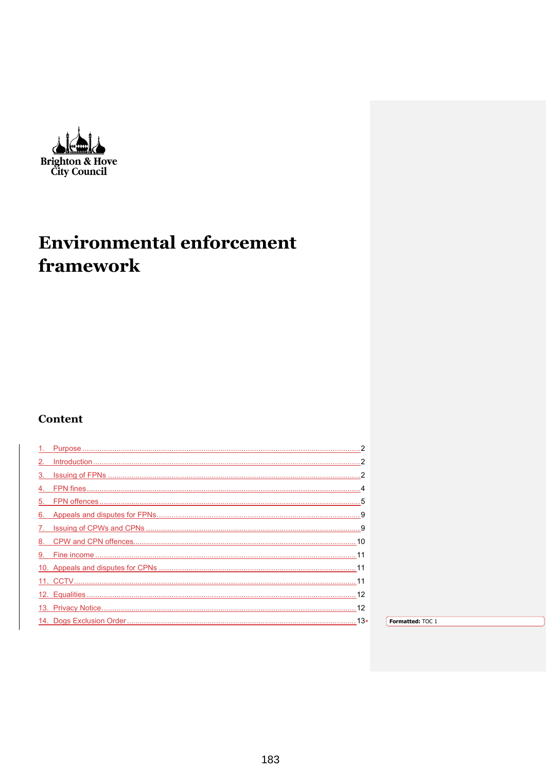$\overline{a}$ Brighton & Hove<br>City Council

# **Environmental enforcement** framework

## **Content**

| 13+ | Formatted: TOC 1 |
|-----|------------------|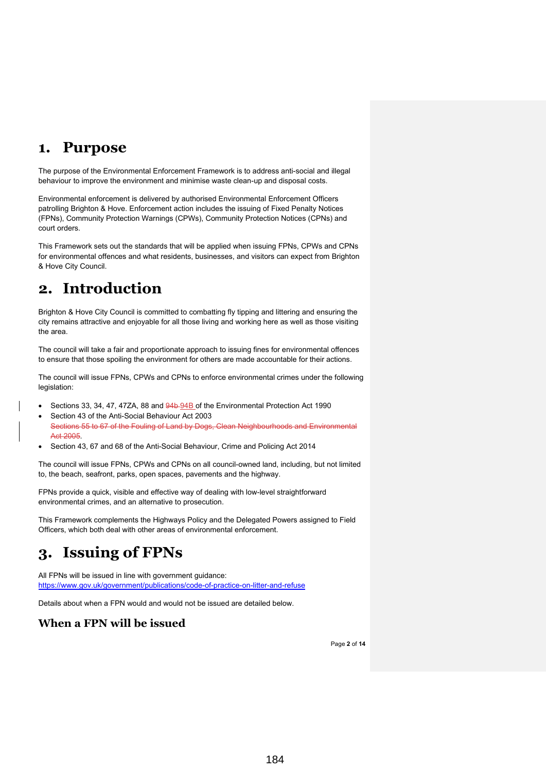## <span id="page-1-0"></span>**1. Purpose**

The purpose of the Environmental Enforcement Framework is to address anti-social and illegal behaviour to improve the environment and minimise waste clean-up and disposal costs.

Environmental enforcement is delivered by authorised Environmental Enforcement Officers patrolling Brighton & Hove. Enforcement action includes the issuing of Fixed Penalty Notices (FPNs), Community Protection Warnings (CPWs), Community Protection Notices (CPNs) and court orders.

This Framework sets out the standards that will be applied when issuing FPNs, CPWs and CPNs for environmental offences and what residents, businesses, and visitors can expect from Brighton & Hove City Council.

# <span id="page-1-1"></span>**2. Introduction**

Brighton & Hove City Council is committed to combatting fly tipping and littering and ensuring the city remains attractive and enjoyable for all those living and working here as well as those visiting the area.

The council will take a fair and proportionate approach to issuing fines for environmental offences to ensure that those spoiling the environment for others are made accountable for their actions.

The council will issue FPNs, CPWs and CPNs to enforce environmental crimes under the following legislation:

- Sections 33, 34, 47, 47ZA, 88 and 94b-94B of the Environmental Protection Act 1990
- Section 43 of the Anti-Social Behaviour Act 2003 Sections 55 to 67 of the Fouling of Land by Dogs, Clean Neighbourhoods and Environmental Act 2005.
- Section 43, 67 and 68 of the Anti-Social Behaviour, Crime and Policing Act 2014

The council will issue FPNs, CPWs and CPNs on all council-owned land, including, but not limited to, the beach, seafront, parks, open spaces, pavements and the highway.

FPNs provide a quick, visible and effective way of dealing with low-level straightforward environmental crimes, and an alternative to prosecution.

This Framework complements the Highways Policy and the Delegated Powers assigned to Field Officers, which both deal with other areas of environmental enforcement.

# <span id="page-1-2"></span>**3. Issuing of FPNs**

All FPNs will be issued in line with government guidance: <https://www.gov.uk/government/publications/code-of-practice-on-litter-and-refuse>

Details about when a FPN would and would not be issued are detailed below.

## **When a FPN will be issued**

Page **2** of **14**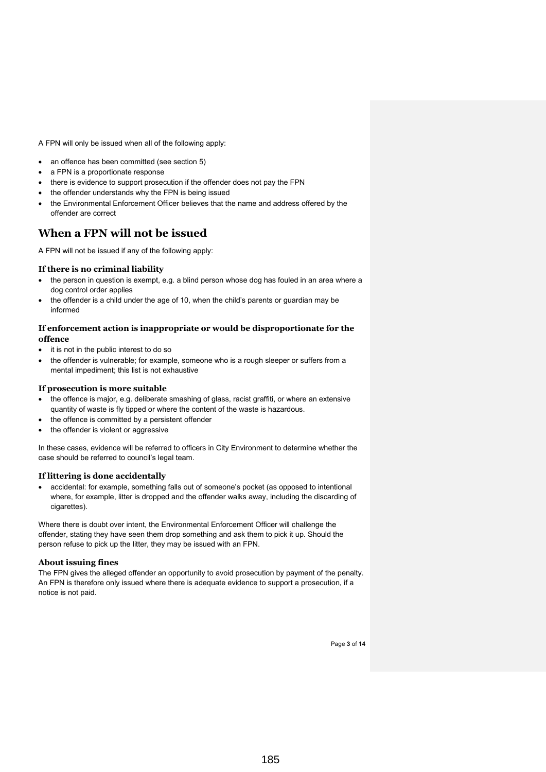A FPN will only be issued when all of the following apply:

- an offence has been committed (see section 5)
- a FPN is a proportionate response
- there is evidence to support prosecution if the offender does not pay the FPN
- the offender understands why the FPN is being issued
- the Environmental Enforcement Officer believes that the name and address offered by the offender are correct

## **When a FPN will not be issued**

A FPN will not be issued if any of the following apply:

### **If there is no criminal liability**

- the person in question is exempt, e.g. a blind person whose dog has fouled in an area where a dog control order applies
- the offender is a child under the age of 10, when the child's parents or guardian may be informed

### **If enforcement action is inappropriate or would be disproportionate for the offence**

- it is not in the public interest to do so
- the offender is vulnerable; for example, someone who is a rough sleeper or suffers from a mental impediment; this list is not exhaustive

### **If prosecution is more suitable**

- the offence is major, e.g. deliberate smashing of glass, racist graffiti, or where an extensive quantity of waste is fly tipped or where the content of the waste is hazardous.
- the offence is committed by a persistent offender
- the offender is violent or aggressive

In these cases, evidence will be referred to officers in City Environment to determine whether the case should be referred to council's legal team.

### **If littering is done accidentally**

• accidental: for example, something falls out of someone's pocket (as opposed to intentional where, for example, litter is dropped and the offender walks away, including the discarding of cigarettes).

Where there is doubt over intent, the Environmental Enforcement Officer will challenge the offender, stating they have seen them drop something and ask them to pick it up. Should the person refuse to pick up the litter, they may be issued with an FPN.

### **About issuing fines**

The FPN gives the alleged offender an opportunity to avoid prosecution by payment of the penalty. An FPN is therefore only issued where there is adequate evidence to support a prosecution, if a notice is not paid.

Page **3** of **14**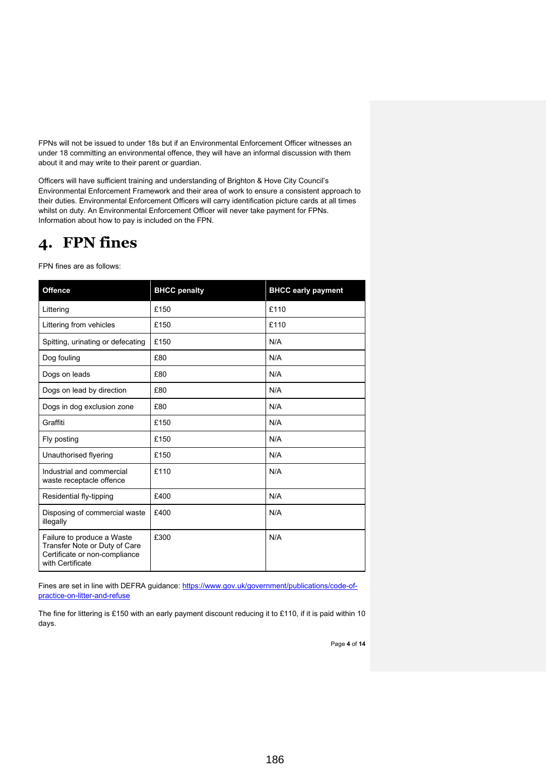FPNs will not be issued to under 18s but if an Environmental Enforcement Officer witnesses an under 18 committing an environmental offence, they will have an informal discussion with them about it and may write to their parent or guardian.

Officers will have sufficient training and understanding of Brighton & Hove City Council's Environmental Enforcement Framework and their area of work to ensure a consistent approach to their duties. Environmental Enforcement Officers will carry identification picture cards at all times whilst on duty. An Environmental Enforcement Officer will never take payment for FPNs. Information about how to pay is included on the FPN.

# <span id="page-3-0"></span>**4. FPN fines**

FPN fines are as follows:

| <b>Offence</b>                                                                                                   | <b>BHCC</b> penalty | <b>BHCC early payment</b> |
|------------------------------------------------------------------------------------------------------------------|---------------------|---------------------------|
| Littering                                                                                                        | £150                | £110                      |
| Littering from vehicles                                                                                          | £150                | £110                      |
| Spitting, urinating or defecating                                                                                | £150                | N/A                       |
| Dog fouling                                                                                                      | £80                 | N/A                       |
| Dogs on leads                                                                                                    | £80                 | N/A                       |
| Dogs on lead by direction                                                                                        | £80                 | N/A                       |
| Dogs in dog exclusion zone                                                                                       | £80                 | N/A                       |
| Graffiti                                                                                                         | £150                | N/A                       |
| Fly posting                                                                                                      | £150                | N/A                       |
| Unauthorised flyering                                                                                            | £150                | N/A                       |
| Industrial and commercial<br>waste receptacle offence                                                            | £110                | N/A                       |
| Residential fly-tipping                                                                                          | £400                | N/A                       |
| Disposing of commercial waste<br>illegally                                                                       | £400                | N/A                       |
| Failure to produce a Waste<br>Transfer Note or Duty of Care<br>Certificate or non-compliance<br>with Certificate | £300                | N/A                       |

Fines are set in line with DEFRA guidance: [https://www.gov.uk/government/publications/code-of](https://www.gov.uk/government/publications/code-of-practice-on-litter-and-refuse)[practice-on-litter-and-refuse](https://www.gov.uk/government/publications/code-of-practice-on-litter-and-refuse)

The fine for littering is £150 with an early payment discount reducing it to £110, if it is paid within 10 days.

Page **4** of **14**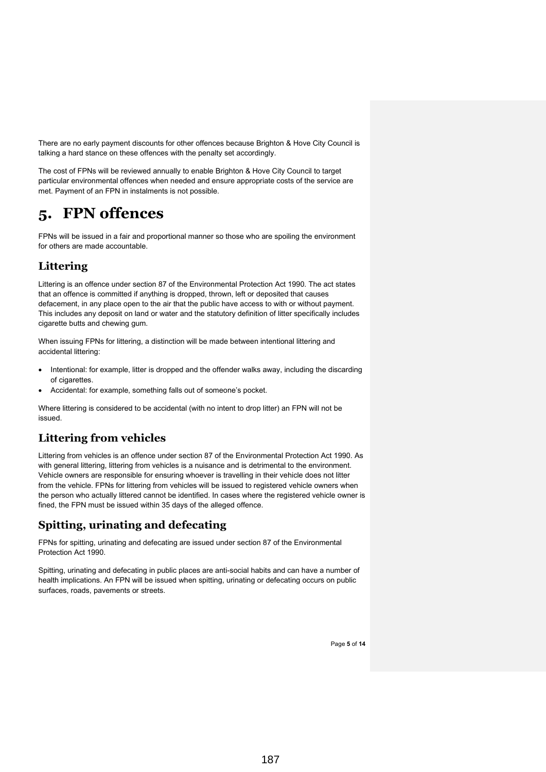There are no early payment discounts for other offences because Brighton & Hove City Council is talking a hard stance on these offences with the penalty set accordingly.

The cost of FPNs will be reviewed annually to enable Brighton & Hove City Council to target particular environmental offences when needed and ensure appropriate costs of the service are met. Payment of an FPN in instalments is not possible.

# <span id="page-4-0"></span>**5. FPN offences**

FPNs will be issued in a fair and proportional manner so those who are spoiling the environment for others are made accountable.

## **Littering**

Littering is an offence under section 87 of the Environmental Protection Act 1990. The act states that an offence is committed if anything is dropped, thrown, left or deposited that causes defacement, in any place open to the air that the public have access to with or without payment. This includes any deposit on land or water and the statutory definition of litter specifically includes cigarette butts and chewing gum.

When issuing FPNs for littering, a distinction will be made between intentional littering and accidental littering:

- Intentional: for example, litter is dropped and the offender walks away, including the discarding of cigarettes
- Accidental: for example, something falls out of someone's pocket.

Where littering is considered to be accidental (with no intent to drop litter) an FPN will not be issued.

## **Littering from vehicles**

Littering from vehicles is an offence under section 87 of the Environmental Protection Act 1990. As with general littering, littering from vehicles is a nuisance and is detrimental to the environment. Vehicle owners are responsible for ensuring whoever is travelling in their vehicle does not litter from the vehicle. FPNs for littering from vehicles will be issued to registered vehicle owners when the person who actually littered cannot be identified. In cases where the registered vehicle owner is fined, the FPN must be issued within 35 days of the alleged offence.

## **Spitting, urinating and defecating**

FPNs for spitting, urinating and defecating are issued under section 87 of the Environmental Protection Act 1990.

Spitting, urinating and defecating in public places are anti-social habits and can have a number of health implications. An FPN will be issued when spitting, urinating or defecating occurs on public surfaces, roads, pavements or streets.

Page **5** of **14**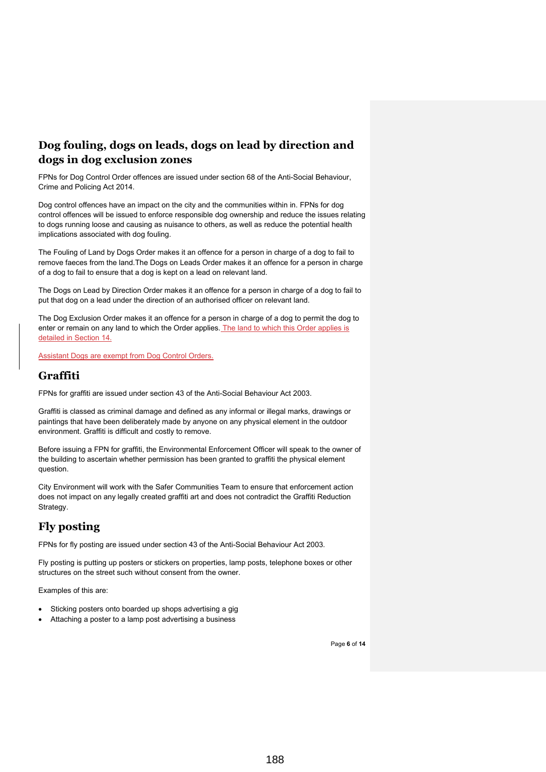## **Dog fouling, dogs on leads, dogs on lead by direction and dogs in dog exclusion zones**

FPNs for Dog Control Order offences are issued under section 68 of the Anti-Social Behaviour, Crime and Policing Act 2014.

Dog control offences have an impact on the city and the communities within in. FPNs for dog control offences will be issued to enforce responsible dog ownership and reduce the issues relating to dogs running loose and causing as nuisance to others, as well as reduce the potential health implications associated with dog fouling.

The Fouling of Land by Dogs Order makes it an offence for a person in charge of a dog to fail to remove faeces from the land.The Dogs on Leads Order makes it an offence for a person in charge of a dog to fail to ensure that a dog is kept on a lead on relevant land.

The Dogs on Lead by Direction Order makes it an offence for a person in charge of a dog to fail to put that dog on a lead under the direction of an authorised officer on relevant land.

The Dog Exclusion Order makes it an offence for a person in charge of a dog to permit the dog to enter or remain on any land to which the Order applies. The land to which this Order applies is detailed in Section 14.

Assistant Dogs are exempt from Dog Control Orders.

### **Graffiti**

FPNs for graffiti are issued under section 43 of the Anti-Social Behaviour Act 2003.

Graffiti is classed as criminal damage and defined as any informal or illegal marks, drawings or paintings that have been deliberately made by anyone on any physical element in the outdoor environment. Graffiti is difficult and costly to remove.

Before issuing a FPN for graffiti, the Environmental Enforcement Officer will speak to the owner of the building to ascertain whether permission has been granted to graffiti the physical element question.

City Environment will work with the Safer Communities Team to ensure that enforcement action does not impact on any legally created graffiti art and does not contradict the Graffiti Reduction Strategy.

## **Fly posting**

FPNs for fly posting are issued under section 43 of the Anti-Social Behaviour Act 2003.

Fly posting is putting up posters or stickers on properties, lamp posts, telephone boxes or other structures on the street such without consent from the owner.

Examples of this are:

- Sticking posters onto boarded up shops advertising a gig
- Attaching a poster to a lamp post advertising a business

Page **6** of **14**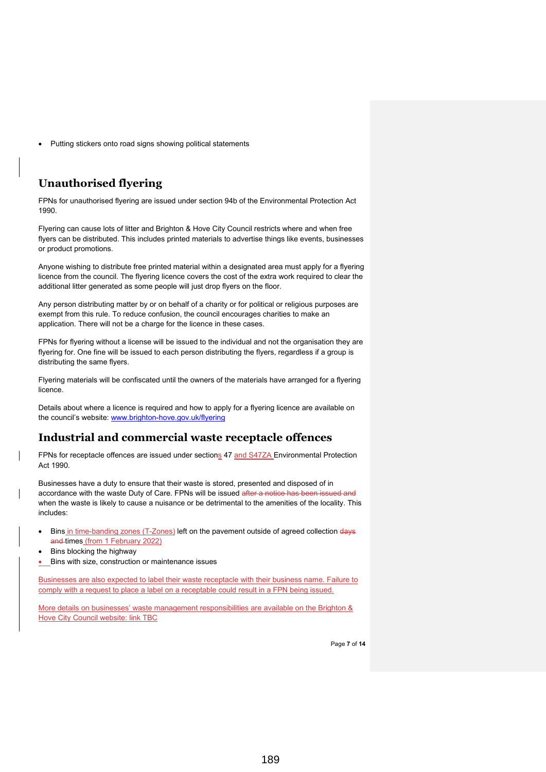Putting stickers onto road signs showing political statements

## **Unauthorised flyering**

FPNs for unauthorised flyering are issued under section 94b of the Environmental Protection Act 1990.

Flyering can cause lots of litter and Brighton & Hove City Council restricts where and when free flyers can be distributed. This includes printed materials to advertise things like events, businesses or product promotions.

Anyone wishing to distribute free printed material within a designated area must apply for a flyering licence from the council. The flyering licence covers the cost of the extra work required to clear the additional litter generated as some people will just drop flyers on the floor.

Any person distributing matter by or on behalf of a charity or for political or religious purposes are exempt from this rule. To reduce confusion, the council encourages charities to make an application. There will not be a charge for the licence in these cases.

FPNs for flyering without a license will be issued to the individual and not the organisation they are flyering for. One fine will be issued to each person distributing the flyers, regardless if a group is distributing the same flyers.

Flyering materials will be confiscated until the owners of the materials have arranged for a flyering licence.

Details about where a licence is required and how to apply for a flyering licence are available on the council's website: [www.brighton-hove.gov.uk/flyering](http://www.brighton-hove.gov.uk/flyering)

### **Industrial and commercial waste receptacle offences**

FPNs for receptacle offences are issued under sections 47 and S47ZA Environmental Protection Act 1990.

Businesses have a duty to ensure that their waste is stored, presented and disposed of in accordance with the waste Duty of Care. FPNs will be issued after a notice has been when the waste is likely to cause a nuisance or be detrimental to the amenities of the locality. This includes:

- Bins in time-banding zones (T-Zones) left on the pavement outside of agreed collection days and times (from 1 February 2022)
- Bins blocking the highway
- Bins with size, construction or maintenance issues

Businesses are also expected to label their waste receptacle with their business name. Failure to comply with a request to place a label on a receptable could result in a FPN being issued.

More details on businesses' waste management responsibilities are available on the Brighton & Hove City Council website: link TBC

Page **7** of **14**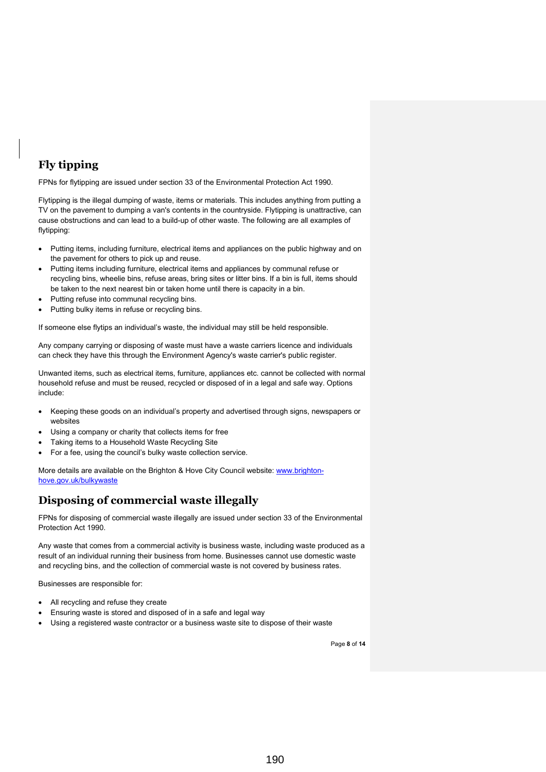## **Fly tipping**

FPNs for flytipping are issued under section 33 of the Environmental Protection Act 1990.

Flytipping is the illegal dumping of waste, items or materials. This includes anything from putting a TV on the pavement to dumping a van's contents in the countryside. Flytipping is unattractive, can cause obstructions and can lead to a build-up of other waste. The following are all examples of flytipping:

- Putting items, including furniture, electrical items and appliances on the public highway and on the pavement for others to pick up and reuse.
- Putting items including furniture, electrical items and appliances by communal refuse or recycling bins, wheelie bins, refuse areas, bring sites or litter bins. If a bin is full, items should be taken to the next nearest bin or taken home until there is capacity in a bin.
- Putting refuse into communal recycling bins.
- Putting bulky items in refuse or recycling bins.

If someone else flytips an individual's waste, the individual may still be held responsible.

Any company carrying or disposing of waste must have a waste carriers licence and individuals can check they have this through the Environment Agency's waste carrier's public register.

Unwanted items, such as electrical items, furniture, appliances etc. cannot be collected with normal household refuse and must be reused, recycled or disposed of in a legal and safe way. Options include:

- Keeping these goods on an individual's property and advertised through signs, newspapers or websites
- Using a company or charity that collects items for free
- Taking items to a Household Waste Recycling Site
- For a fee, using the council's bulky waste collection service.

More details are available on the Brighton & Hove City Council website: [www.brighton](http://www.brighton-hove.gov.uk/bulkywaste)[hove.gov.uk/bulkywaste](http://www.brighton-hove.gov.uk/bulkywaste) 

## **Disposing of commercial waste illegally**

FPNs for disposing of commercial waste illegally are issued under section 33 of the Environmental Protection Act 1990.

Any waste that comes from a commercial activity is business waste, including waste produced as a result of an individual running their business from home. Businesses cannot use domestic waste and recycling bins, and the collection of commercial waste is not covered by business rates.

Businesses are responsible for:

- All recycling and refuse they create
- Ensuring waste is stored and disposed of in a safe and legal way
- Using a registered waste contractor or a business waste site to dispose of their waste

Page **8** of **14**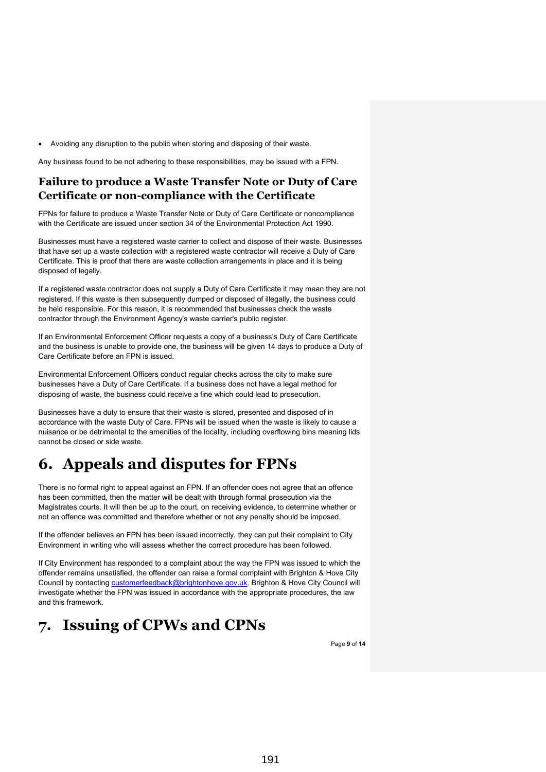• Avoiding any disruption to the public when storing and disposing of their waste.

Any business found to be not adhering to these responsibilities, may be issued with a FPN.

### **Failure to produce a Waste Transfer Note or Duty of Care Certificate or non-compliance with the Certificate**

FPNs for failure to produce a Waste Transfer Note or Duty of Care Certificate or noncompliance with the Certificate are issued under section 34 of the Environmental Protection Act 1990.

Businesses must have a registered waste carrier to collect and dispose of their waste. Businesses that have set up a waste collection with a registered waste contractor will receive a Duty of Care Certificate. This is proof that there are waste collection arrangements in place and it is being disposed of legally.

If a registered waste contractor does not supply a Duty of Care Certificate it may mean they are not registered. If this waste is then subsequently dumped or disposed of illegally, the business could be held responsible. For this reason, it is recommended that businesses check the waste contractor through the Environment Agency's waste carrier's public register.

If an Environmental Enforcement Officer requests a copy of a business's Duty of Care Certificate and the business is unable to provide one, the business will be given 14 days to produce a Duty of Care Certificate before an FPN is issued.

Environmental Enforcement Officers conduct regular checks across the city to make sure businesses have a Duty of Care Certificate. If a business does not have a legal method for disposing of waste, the business could receive a fine which could lead to prosecution.

Businesses have a duty to ensure that their waste is stored, presented and disposed of in accordance with the waste Duty of Care. FPNs will be issued when the waste is likely to cause a nuisance or be detrimental to the amenities of the locality, including overflowing bins meaning lids cannot be closed or side waste.

# <span id="page-8-0"></span>**6. Appeals and disputes for FPNs**

There is no formal right to appeal against an FPN. If an offender does not agree that an offence has been committed, then the matter will be dealt with through formal prosecution via the Magistrates courts. It will then be up to the court, on receiving evidence, to determine whether or not an offence was committed and therefore whether or not any penalty should be imposed.

If the offender believes an FPN has been issued incorrectly, they can put their complaint to City Environment in writing who will assess whether the correct procedure has been followed.

If City Environment has responded to a complaint about the way the FPN was issued to which the offender remains unsatisfied, the offender can raise a formal complaint with Brighton & Hove City Council by contacting [customerfeedback@brightonhove.gov.uk.](mailto:customerfeedback@brightonhove.gov.uk) Brighton & Hove City Council will investigate whether the FPN was issued in accordance with the appropriate procedures, the law and this framework.

# <span id="page-8-1"></span>**7. Issuing of CPWs and CPNs**

Page **9** of **14**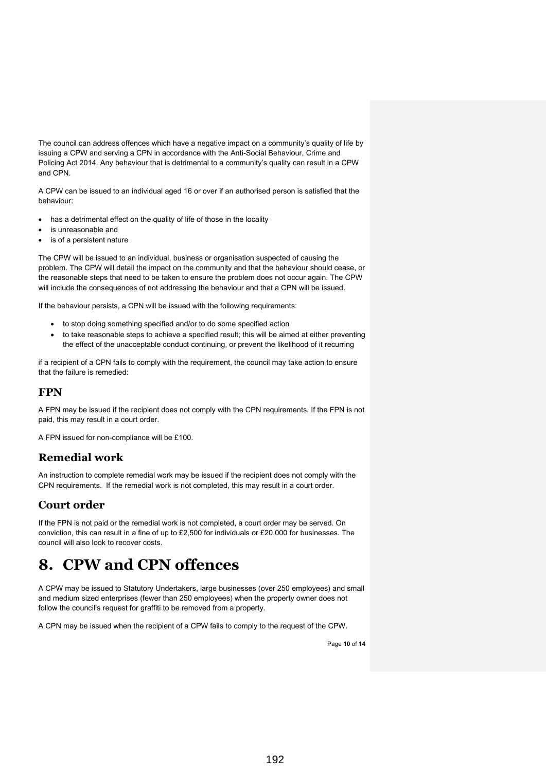The council can address offences which have a negative impact on a community's quality of life by issuing a CPW and serving a CPN in accordance with the Anti-Social Behaviour, Crime and Policing Act 2014. Any behaviour that is detrimental to a community's quality can result in a CPW and CPN.

A CPW can be issued to an individual aged 16 or over if an authorised person is satisfied that the behaviour:

- has a detrimental effect on the quality of life of those in the locality
- is unreasonable and
- is of a persistent nature

The CPW will be issued to an individual, business or organisation suspected of causing the problem. The CPW will detail the impact on the community and that the behaviour should cease, or the reasonable steps that need to be taken to ensure the problem does not occur again. The CPW will include the consequences of not addressing the behaviour and that a CPN will be issued.

If the behaviour persists, a CPN will be issued with the following requirements:

- to stop doing something specified and/or to do some specified action
- to take reasonable steps to achieve a specified result; this will be aimed at either preventing the effect of the unacceptable conduct continuing, or prevent the likelihood of it recurring

if a recipient of a CPN fails to comply with the requirement, the council may take action to ensure that the failure is remedied:

### **FPN**

A FPN may be issued if the recipient does not comply with the CPN requirements. If the FPN is not paid, this may result in a court order.

A FPN issued for non-compliance will be £100.

## **Remedial work**

An instruction to complete remedial work may be issued if the recipient does not comply with the CPN requirements. If the remedial work is not completed, this may result in a court order.

### **Court order**

If the FPN is not paid or the remedial work is not completed, a court order may be served. On conviction, this can result in a fine of up to £2,500 for individuals or £20,000 for businesses. The council will also look to recover costs.

## <span id="page-9-0"></span>**8. CPW and CPN offences**

A CPW may be issued to Statutory Undertakers, large businesses (over 250 employees) and small and medium sized enterprises (fewer than 250 employees) when the property owner does not follow the council's request for graffiti to be removed from a property.

A CPN may be issued when the recipient of a CPW fails to comply to the request of the CPW.

Page **10** of **14**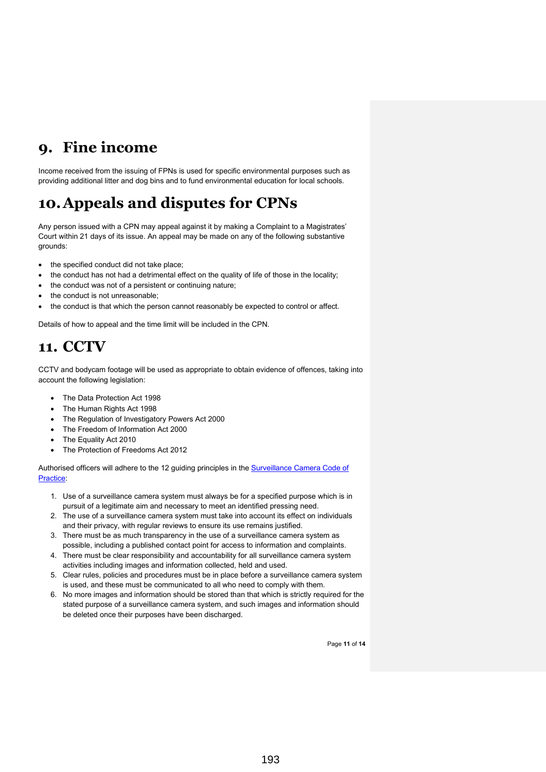# <span id="page-10-0"></span>**9. Fine income**

Income received from the issuing of FPNs is used for specific environmental purposes such as providing additional litter and dog bins and to fund environmental education for local schools.

# <span id="page-10-1"></span>**10.Appeals and disputes for CPNs**

Any person issued with a CPN may appeal against it by making a Complaint to a Magistrates' Court within 21 days of its issue. An appeal may be made on any of the following substantive grounds:

- the specified conduct did not take place;
- the conduct has not had a detrimental effect on the quality of life of those in the locality;
- the conduct was not of a persistent or continuing nature;
- the conduct is not unreasonable;
- the conduct is that which the person cannot reasonably be expected to control or affect.

Details of how to appeal and the time limit will be included in the CPN.

# <span id="page-10-2"></span>**11. CCTV**

CCTV and bodycam footage will be used as appropriate to obtain evidence of offences, taking into account the following legislation:

- The Data Protection Act 1998
- The Human Rights Act 1998
- The Regulation of Investigatory Powers Act 2000
- The Freedom of Information Act 2000
- The Equality Act 2010
- The Protection of Freedoms Act 2012

Authorised officers will adhere to the 12 guiding principles in the [Surveillance Camera Code of](https://www.gov.uk/government/publications/surveillance-camera-code-of-practice)  [Practice:](https://www.gov.uk/government/publications/surveillance-camera-code-of-practice)

- 1. Use of a surveillance camera system must always be for a specified purpose which is in pursuit of a legitimate aim and necessary to meet an identified pressing need.
- 2. The use of a surveillance camera system must take into account its effect on individuals and their privacy, with regular reviews to ensure its use remains justified.
- 3. There must be as much transparency in the use of a surveillance camera system as possible, including a published contact point for access to information and complaints.
- 4. There must be clear responsibility and accountability for all surveillance camera system activities including images and information collected, held and used.
- 5. Clear rules, policies and procedures must be in place before a surveillance camera system is used, and these must be communicated to all who need to comply with them.
- 6. No more images and information should be stored than that which is strictly required for the stated purpose of a surveillance camera system, and such images and information should be deleted once their purposes have been discharged.

Page **11** of **14**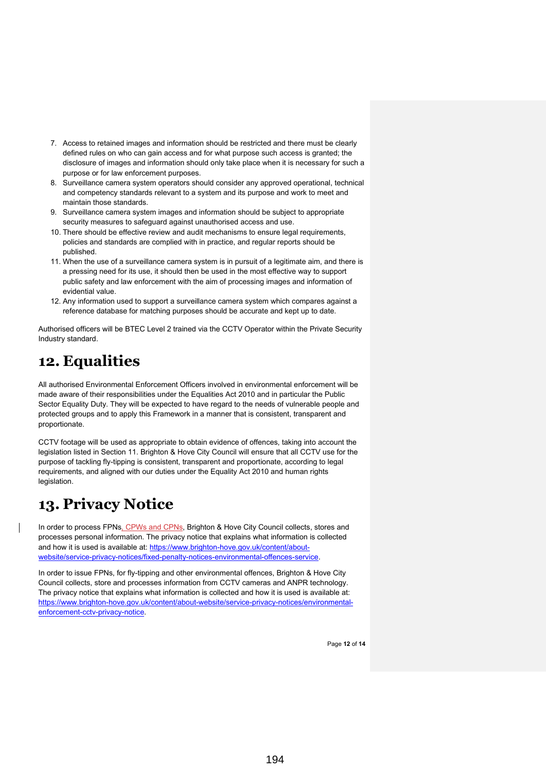- 7. Access to retained images and information should be restricted and there must be clearly defined rules on who can gain access and for what purpose such access is granted; the disclosure of images and information should only take place when it is necessary for such a purpose or for law enforcement purposes.
- 8. Surveillance camera system operators should consider any approved operational, technical and competency standards relevant to a system and its purpose and work to meet and maintain those standards.
- 9. Surveillance camera system images and information should be subject to appropriate security measures to safeguard against unauthorised access and use.
- 10. There should be effective review and audit mechanisms to ensure legal requirements, policies and standards are complied with in practice, and regular reports should be published.
- 11. When the use of a surveillance camera system is in pursuit of a legitimate aim, and there is a pressing need for its use, it should then be used in the most effective way to support public safety and law enforcement with the aim of processing images and information of evidential value.
- 12. Any information used to support a surveillance camera system which compares against a reference database for matching purposes should be accurate and kept up to date.

Authorised officers will be BTEC Level 2 trained via the CCTV Operator within the Private Security Industry standard.

# <span id="page-11-0"></span>**12. Equalities**

All authorised Environmental Enforcement Officers involved in environmental enforcement will be made aware of their responsibilities under the Equalities Act 2010 and in particular the Public Sector Equality Duty. They will be expected to have regard to the needs of vulnerable people and protected groups and to apply this Framework in a manner that is consistent, transparent and proportionate.

CCTV footage will be used as appropriate to obtain evidence of offences, taking into account the legislation listed in Section 11. Brighton & Hove City Council will ensure that all CCTV use for the purpose of tackling fly-tipping is consistent, transparent and proportionate, according to legal requirements, and aligned with our duties under the Equality Act 2010 and human rights legislation.

# <span id="page-11-1"></span>**13. Privacy Notice**

In order to process FPNs, CPWs and CPNs, Brighton & Hove City Council collects, stores and processes personal information. The privacy notice that explains what information is collected and how it is used is available at: [https://www.brighton-hove.gov.uk/content/about](https://www.brighton-hove.gov.uk/content/about-website/service-privacy-notices/fixed-penalty-notices-environmental-offences-service)[website/service-privacy-notices/fixed-penalty-notices-environmental-offences-service.](https://www.brighton-hove.gov.uk/content/about-website/service-privacy-notices/fixed-penalty-notices-environmental-offences-service)

In order to issue FPNs, for fly-tipping and other environmental offences, Brighton & Hove City Council collects, store and processes information from CCTV cameras and ANPR technology. The privacy notice that explains what information is collected and how it is used is available at: [https://www.brighton-hove.gov.uk/content/about-website/service-privacy-notices/environmental](https://www.brighton-hove.gov.uk/content/about-website/service-privacy-notices/environmental-enforcement-cctv-privacy-notice)[enforcement-cctv-privacy-notice.](https://www.brighton-hove.gov.uk/content/about-website/service-privacy-notices/environmental-enforcement-cctv-privacy-notice)

Page **12** of **14**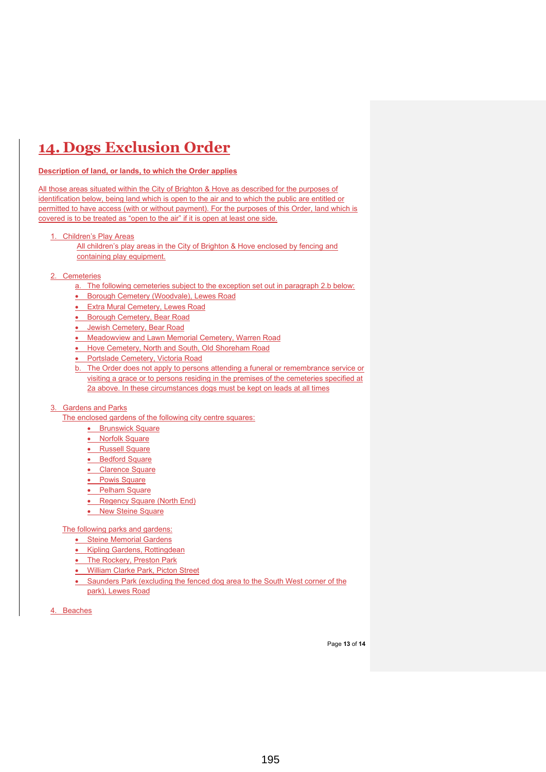# <span id="page-12-0"></span>**14. Dogs Exclusion Order**

#### **Description of land, or lands, to which the Order applies**

All those areas situated within the City of Brighton & Hove as described for the purposes of identification below, being land which is open to the air and to which the public are entitled or permitted to have access (with or without payment). For the purposes of this Order, land which is covered is to be treated as "open to the air" if it is open at least one side.

#### 1. Children's Play Areas

All children's play areas in the City of Brighton & Hove enclosed by fencing and containing play equipment.

### 2. Cemeteries

- a. The following cemeteries subject to the exception set out in paragraph 2.b below:
- Borough Cemetery (Woodvale), Lewes Road
- Extra Mural Cemetery, Lewes Road
- Borough Cemetery, Bear Road
- Jewish Cemetery, Bear Road
- Meadowview and Lawn Memorial Cemetery, Warren Road
- Hove Cemetery, North and South, Old Shoreham Road
- Portslade Cemetery, Victoria Road
- b. The Order does not apply to persons attending a funeral or remembrance service or visiting a grace or to persons residing in the premises of the cemeteries specified at 2a above. In these circumstances dogs must be kept on leads at all times

#### 3. Gardens and Parks

The enclosed gardens of the following city centre squares:

- **Brunswick Square**
- Norfolk Square
- Russell Square
- Bedford Square
- Clarence Square
- Powis Square
- Pelham Square
- Regency Square (North End)
- New Steine Square

The following parks and gardens:

- **Steine Memorial Gardens**
- Kipling Gardens, Rottingdean
- The Rockery, Preston Park
- **William Clarke Park, Picton Street**
- Saunders Park (excluding the fenced dog area to the South West corner of the park), Lewes Road

4. Beaches

Page **13** of **14**